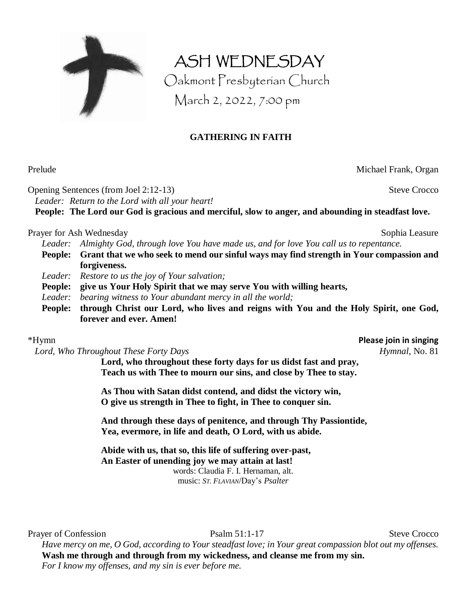

Oakmont Presbyterian Church March 2, 2022, 7:00 pm

ASH WEDNESDAY

## **GATHERING IN FAITH**

Prelude Michael Frank, Organ

Opening Sentences (from Joel 2:12-13) Steve Crocco *Leader: Return to the Lord with all your heart!*

**People: The Lord our God is gracious and merciful, slow to anger, and abounding in steadfast love.**

### Prayer for Ash Wednesday Sophia Leasure Sophia Leasure

*Leader: Almighty God, through love You have made us, and for love You call us to repentance.*

- **People: Grant that we who seek to mend our sinful ways may find strength in Your compassion and forgiveness.**
- *Leader: Restore to us the joy of Your salvation;*
- **People: give us Your Holy Spirit that we may serve You with willing hearts,**
- *Leader: bearing witness to Your abundant mercy in all the world;*
- **People: through Christ our Lord, who lives and reigns with You and the Holy Spirit, one God, forever and ever. Amen!**

*Lord, Who Throughout These Forty Days Hymnal,* No. 81

**Lord, who throughout these forty days for us didst fast and pray, Teach us with Thee to mourn our sins, and close by Thee to stay.**

**As Thou with Satan didst contend, and didst the victory win, O give us strength in Thee to fight, in Thee to conquer sin.**

**And through these days of penitence, and through Thy Passiontide, Yea, evermore, in life and death, O Lord, with us abide.**

**Abide with us, that so, this life of suffering over-past, An Easter of unending joy we may attain at last!** words: Claudia F. I. Hernaman, alt. music: *ST. FLAVIAN*/Day's *Psalter*

Prayer of Confession Psalm 51:1-17 Steve Crocco

*Have mercy on me, O God, according to Your steadfast love; in Your great compassion blot out my offenses.* **Wash me through and through from my wickedness, and cleanse me from my sin.** *For I know my offenses, and my sin is ever before me.*

\*Hymn **Please join in singing**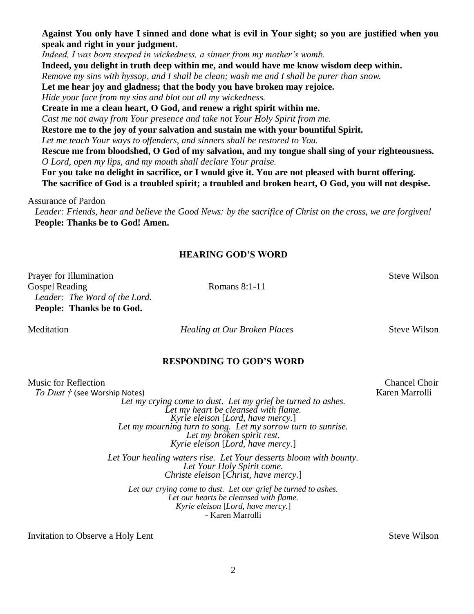**Against You only have I sinned and done what is evil in Your sight; so you are justified when you speak and right in your judgment.**

*Indeed, I was born steeped in wickedness, a sinner from my mother's womb.*

**Indeed, you delight in truth deep within me, and would have me know wisdom deep within.**

*Remove my sins with hyssop, and I shall be clean; wash me and I shall be purer than snow.*

**Let me hear joy and gladness; that the body you have broken may rejoice.**

*Hide your face from my sins and blot out all my wickedness.*

**Create in me a clean heart, O God, and renew a right spirit within me.**

*Cast me not away from Your presence and take not Your Holy Spirit from me.*

**Restore me to the joy of your salvation and sustain me with your bountiful Spirit.**

*Let me teach Your ways to offenders, and sinners shall be restored to You.*

**Rescue me from bloodshed, O God of my salvation, and my tongue shall sing of your righteousness.** *O Lord, open my lips, and my mouth shall declare Your praise.*

**For you take no delight in sacrifice, or I would give it. You are not pleased with burnt offering. The sacrifice of God is a troubled spirit; a troubled and broken heart, O God, you will not despise.**

Assurance of Pardon

*Leader: Friends, hear and believe the Good News: by the sacrifice of Christ on the cross, we are forgiven!*  **People: Thanks be to God! Amen.**

### **HEARING GOD'S WORD**

Prayer for Illumination Steve Wilson Gospel Reading Romans 8:1-11 *Leader: The Word of the Lord.* **People: Thanks be to God.**

Meditation *Healing at Our Broken Places* Steve Wilson

### **RESPONDING TO GOD'S WORD**

| Music for Reflection                                                                                                                                                                                                                                                         | <b>Chancel Choir</b> |
|------------------------------------------------------------------------------------------------------------------------------------------------------------------------------------------------------------------------------------------------------------------------------|----------------------|
| To Dust † (see Worship Notes)                                                                                                                                                                                                                                                | Karen Marrolli       |
| Let my crying come to dust. Let my grief be turned to ashes.<br>Let my heart be cleansed with flame.<br>Kyrie eleison [Lord, have mercy.]<br>Let my mourning turn to song. Let my sorrow turn to sunrise.<br>Let my broken spirit rest.<br>Kyrie eleison [Lord, have mercy.] |                      |
| Let Your healing waters rise. Let Your desserts bloom with bounty.<br>Let Your Holy Spirit come.<br>Christe eleison [Christ, have mercy.]                                                                                                                                    |                      |
| Let our crying come to dust. Let our grief be turned to ashes.<br>Let our hearts be cleansed with flame.<br>Kyrie eleison [Lord, have mercy.]<br>- Karen Marrolli                                                                                                            |                      |
| Invitation to Observe a Holy Lent                                                                                                                                                                                                                                            | <b>Steve Wilson</b>  |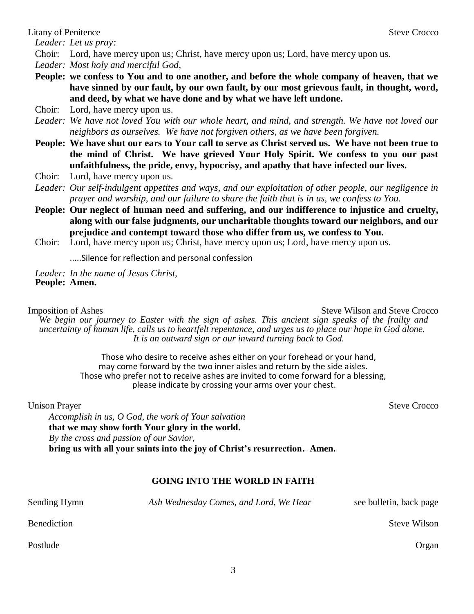Litany of Penitence Steve Crocco Steve Crocco

*Leader: Let us pray:*

Choir: Lord, have mercy upon us; Christ, have mercy upon us; Lord, have mercy upon us.

*Leader: Most holy and merciful God,*

**People: we confess to You and to one another, and before the whole company of heaven, that we have sinned by our fault, by our own fault, by our most grievous fault, in thought, word, and deed, by what we have done and by what we have left undone.**

Choir: Lord, have mercy upon us.

- *Leader: We have not loved You with our whole heart, and mind, and strength. We have not loved our neighbors as ourselves. We have not forgiven others, as we have been forgiven.*
- **People: We have shut our ears to Your call to serve as Christ served us. We have not been true to the mind of Christ. We have grieved Your Holy Spirit. We confess to you our past unfaithfulness, the pride, envy, hypocrisy, and apathy that have infected our lives.**
- Choir: Lord, have mercy upon us.
- *Leader: Our self-indulgent appetites and ways, and our exploitation of other people, our negligence in prayer and worship, and our failure to share the faith that is in us, we confess to You.*
- **People: Our neglect of human need and suffering, and our indifference to injustice and cruelty, along with our false judgments, our uncharitable thoughts toward our neighbors, and our prejudice and contempt toward those who differ from us, we confess to You.**
- Choir: Lord, have mercy upon us; Christ, have mercy upon us; Lord, have mercy upon us.

.....Silence for reflection and personal confession

*Leader: In the name of Jesus Christ,* **People: Amen.** 

Imposition of Ashes Steve Wilson and Steve Crocco

*We begin our journey to Easter with the sign of ashes. This ancient sign speaks of the frailty and uncertainty of human life, calls us to heartfelt repentance, and urges us to place our hope in God alone. It is an outward sign or our inward turning back to God.*

> Those who desire to receive ashes either on your forehead or your hand, may come forward by the two inner aisles and return by the side aisles. Those who prefer not to receive ashes are invited to come forward for a blessing, please indicate by crossing your arms over your chest.

Unison Prayer Steve Crocco

*Accomplish in us, O God, the work of Your salvation* **that we may show forth Your glory in the world.** *By the cross and passion of our Savior,* **bring us with all your saints into the joy of Christ's resurrection. Amen.**

# **GOING INTO THE WORLD IN FAITH**

| Sending Hymn | Ash Wednesday Comes, and Lord, We Hear | see bulletin, back page |
|--------------|----------------------------------------|-------------------------|
| Benediction  |                                        | <b>Steve Wilson</b>     |

Postlude **Organ**